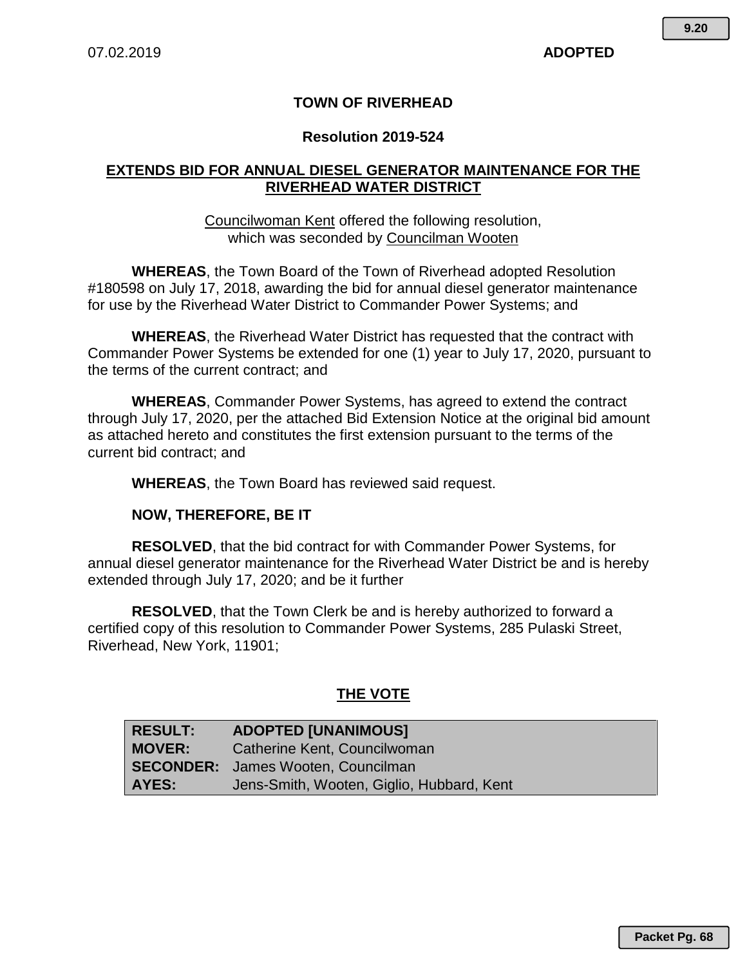# **TOWN OF RIVERHEAD**

### **Resolution 2019-524**

## **EXTENDS BID FOR ANNUAL DIESEL GENERATOR MAINTENANCE FOR THE RIVERHEAD WATER DISTRICT**

#### Councilwoman Kent offered the following resolution, which was seconded by Councilman Wooten

**WHEREAS**, the Town Board of the Town of Riverhead adopted Resolution #180598 on July 17, 2018, awarding the bid for annual diesel generator maintenance for use by the Riverhead Water District to Commander Power Systems; and

**WHEREAS**, the Riverhead Water District has requested that the contract with Commander Power Systems be extended for one (1) year to July 17, 2020, pursuant to the terms of the current contract; and

**WHEREAS**, Commander Power Systems, has agreed to extend the contract through July 17, 2020, per the attached Bid Extension Notice at the original bid amount as attached hereto and constitutes the first extension pursuant to the terms of the current bid contract; and

**WHEREAS**, the Town Board has reviewed said request.

## **NOW, THEREFORE, BE IT**

**RESOLVED**, that the bid contract for with Commander Power Systems, for annual diesel generator maintenance for the Riverhead Water District be and is hereby extended through July 17, 2020; and be it further

**RESOLVED**, that the Town Clerk be and is hereby authorized to forward a certified copy of this resolution to Commander Power Systems, 285 Pulaski Street, Riverhead, New York, 11901;

# **THE VOTE**

| <b>RESULT:</b> | <b>ADOPTED [UNANIMOUS]</b>                |
|----------------|-------------------------------------------|
| <b>MOVER:</b>  | Catherine Kent, Councilwoman              |
|                | <b>SECONDER:</b> James Wooten, Councilman |
| AYES:          | Jens-Smith, Wooten, Giglio, Hubbard, Kent |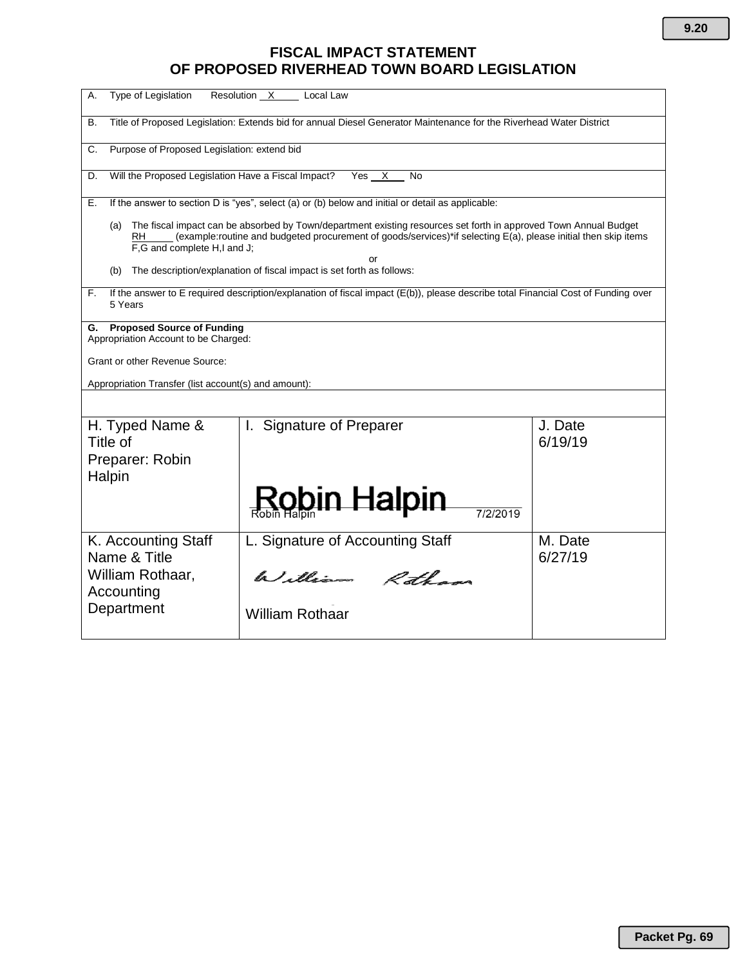# **FISCAL IMPACT STATEMENT OF PROPOSED RIVERHEAD TOWN BOARD LEGISLATION**

| Type of Legislation<br>А.                                                                                                                                                                                                                                                       | Resolution X<br>Local Law        |                    |  |  |
|---------------------------------------------------------------------------------------------------------------------------------------------------------------------------------------------------------------------------------------------------------------------------------|----------------------------------|--------------------|--|--|
| Title of Proposed Legislation: Extends bid for annual Diesel Generator Maintenance for the Riverhead Water District<br>В.                                                                                                                                                       |                                  |                    |  |  |
| Purpose of Proposed Legislation: extend bid<br>C.                                                                                                                                                                                                                               |                                  |                    |  |  |
| Will the Proposed Legislation Have a Fiscal Impact?<br>Yes X<br>No<br>D.                                                                                                                                                                                                        |                                  |                    |  |  |
| If the answer to section D is "yes", select (a) or (b) below and initial or detail as applicable:<br>Е.                                                                                                                                                                         |                                  |                    |  |  |
| The fiscal impact can be absorbed by Town/department existing resources set forth in approved Town Annual Budget<br>(a)<br>(example:routine and budgeted procurement of goods/services)*if selecting E(a), please initial then skip items<br>RH.<br>F,G and complete H,I and J; |                                  |                    |  |  |
| or<br>The description/explanation of fiscal impact is set forth as follows:<br>(b)                                                                                                                                                                                              |                                  |                    |  |  |
| If the answer to E required description/explanation of fiscal impact (E(b)), please describe total Financial Cost of Funding over<br>F.<br>5 Years                                                                                                                              |                                  |                    |  |  |
| <b>Proposed Source of Funding</b><br>G.<br>Appropriation Account to be Charged:                                                                                                                                                                                                 |                                  |                    |  |  |
| Grant or other Revenue Source:                                                                                                                                                                                                                                                  |                                  |                    |  |  |
| Appropriation Transfer (list account(s) and amount):                                                                                                                                                                                                                            |                                  |                    |  |  |
|                                                                                                                                                                                                                                                                                 |                                  |                    |  |  |
| H. Typed Name &<br>Title of<br>Preparer: Robin<br>Halpin                                                                                                                                                                                                                        | I. Signature of Preparer         | J. Date<br>6/19/19 |  |  |
|                                                                                                                                                                                                                                                                                 | Robin Halpin<br>7/2/2019         |                    |  |  |
| K. Accounting Staff<br>Name & Title                                                                                                                                                                                                                                             | L. Signature of Accounting Staff | M. Date<br>6/27/19 |  |  |
| William Rothaar,<br>Accounting                                                                                                                                                                                                                                                  | William Rothans                  |                    |  |  |
| Department                                                                                                                                                                                                                                                                      | <b>William Rothaar</b>           |                    |  |  |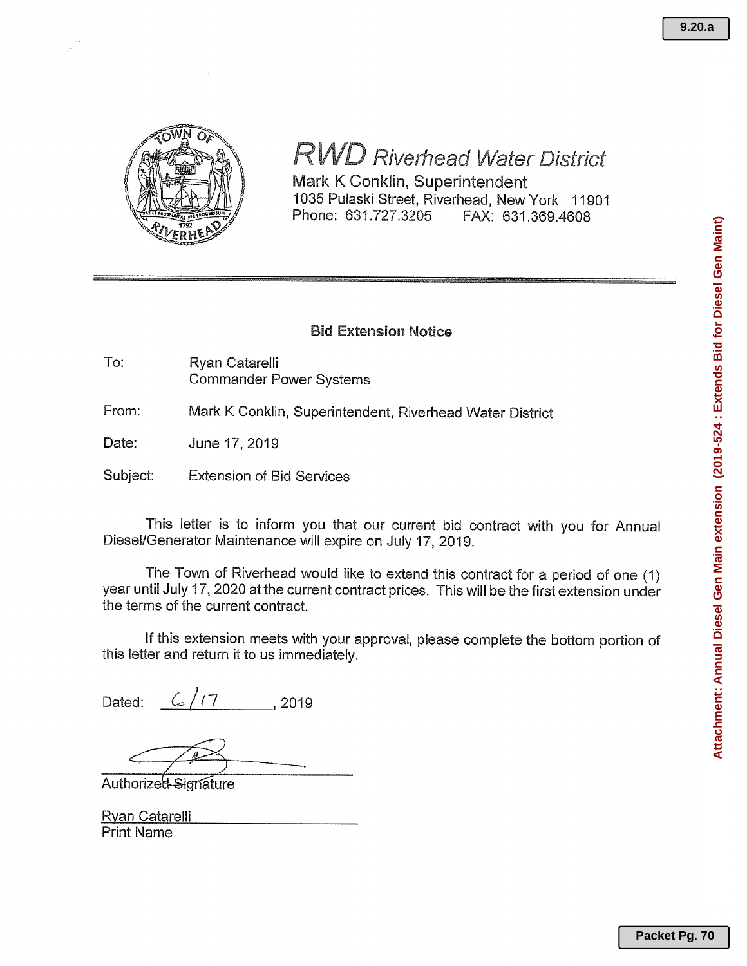

# **RWD Riverhead Water District**

Mark K Conklin, Superintendent 1035 Pulaski Street, Riverhead, New York 11901 Phone: 631.727.3205 FAX: 631.369.4608

#### **Bid Extension Notice**

- To: Ryan Catarelli **Commander Power Systems**
- From: Mark K Conklin, Superintendent, Riverhead Water District
- Date: June 17, 2019
- Subject: **Extension of Bid Services**

This letter is to inform you that our current bid contract with you for Annual Diesel/Generator Maintenance will expire on July 17, 2019.

The Town of Riverhead would like to extend this contract for a period of one (1) year until July 17, 2020 at the current contract prices. This will be the first extension under the terms of the current contract.

If this extension meets with your approval, please complete the bottom portion of this letter and return it to us immediately.

 $6/17$  2019 Dated:

Authorized-Signature

| <u> Ryan Catarelli</u> |
|------------------------|
| <b>Print Name</b>      |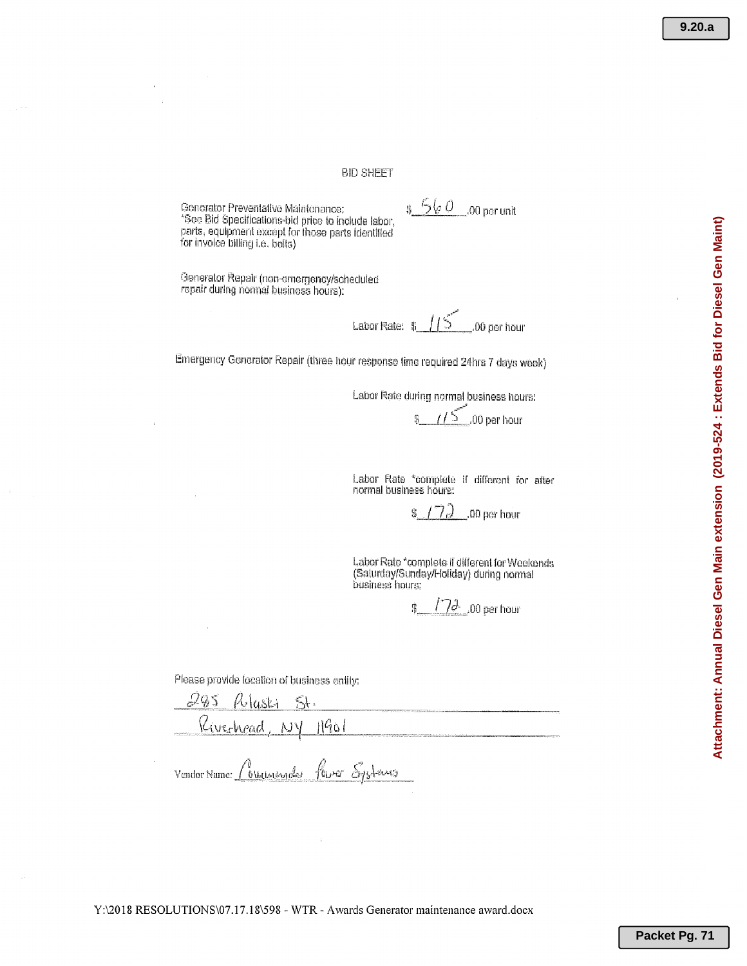#### **BID SHEET**

Generator Preventative Maintenance: \*See Bid Specifications-bid price to include labor, parts, equipment except for those parts identified for invoice billing i.e. belts)

 $560$ .00 per unit

Generator Repair (non-emergency/scheduled repair during normal business hours).

Labor Rate: # .00 per hour

Emergency Generator Repair (three hour response time required 24hrs 7 days week)

Labor Rate during normal business hours:

.00 per hour

Labor Rate \*complete if different for after normal business hours:

7.) .00 per hour ę,

Labor Rate \*complete if different for Weekends (Saturday/Sunday/Holiday) during normal business hours:

 $17d_{-}00$  per hour 张

Please provide focation of business entity;

 $11901$ Riverhood, NY

four Systems Vendor Name:  $\int_{0}^{y}$ Welter Name

Y:\2018 RESOLUTIONS\07.17.18\598 - WTR - Awards Generator maintenance award.docx